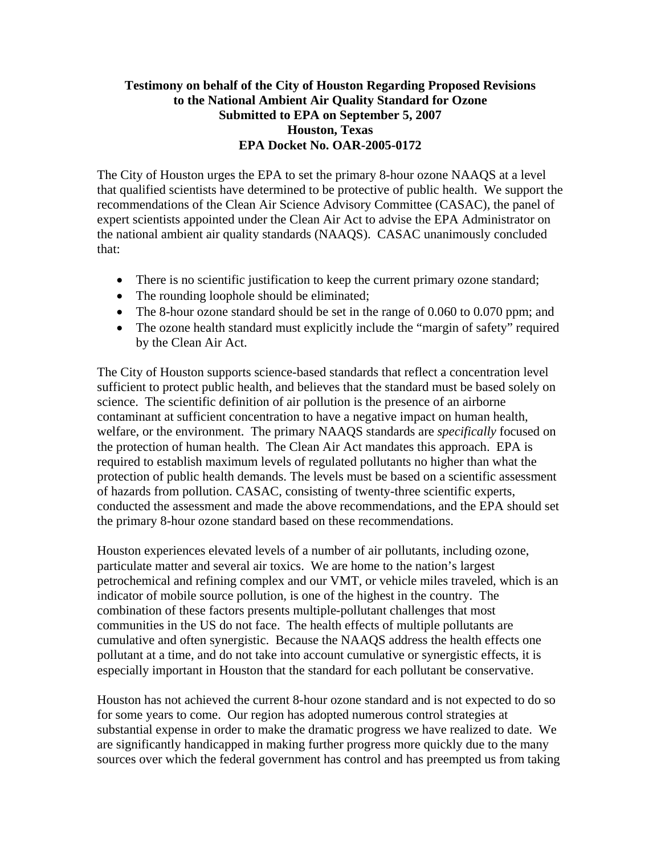## **Testimony on behalf of the City of Houston Regarding Proposed Revisions to the National Ambient Air Quality Standard for Ozone Submitted to EPA on September 5, 2007 Houston, Texas EPA Docket No. OAR-2005-0172**

The City of Houston urges the EPA to set the primary 8-hour ozone NAAQS at a level that qualified scientists have determined to be protective of public health. We support the recommendations of the Clean Air Science Advisory Committee (CASAC), the panel of expert scientists appointed under the Clean Air Act to advise the EPA Administrator on the national ambient air quality standards (NAAQS). CASAC unanimously concluded that:

- There is no scientific justification to keep the current primary ozone standard;
- The rounding loophole should be eliminated;
- The 8-hour ozone standard should be set in the range of 0.060 to 0.070 ppm; and
- The ozone health standard must explicitly include the "margin of safety" required by the Clean Air Act.

The City of Houston supports science-based standards that reflect a concentration level sufficient to protect public health, and believes that the standard must be based solely on science. The scientific definition of air pollution is the presence of an airborne contaminant at sufficient concentration to have a negative impact on human health, welfare, or the environment. The primary NAAQS standards are *specifically* focused on the protection of human health. The Clean Air Act mandates this approach. EPA is required to establish maximum levels of regulated pollutants no higher than what the protection of public health demands. The levels must be based on a scientific assessment of hazards from pollution. CASAC, consisting of twenty-three scientific experts, conducted the assessment and made the above recommendations, and the EPA should set the primary 8-hour ozone standard based on these recommendations.

Houston experiences elevated levels of a number of air pollutants, including ozone, particulate matter and several air toxics. We are home to the nation's largest petrochemical and refining complex and our VMT, or vehicle miles traveled, which is an indicator of mobile source pollution, is one of the highest in the country. The combination of these factors presents multiple-pollutant challenges that most communities in the US do not face. The health effects of multiple pollutants are cumulative and often synergistic. Because the NAAQS address the health effects one pollutant at a time, and do not take into account cumulative or synergistic effects, it is especially important in Houston that the standard for each pollutant be conservative.

Houston has not achieved the current 8-hour ozone standard and is not expected to do so for some years to come. Our region has adopted numerous control strategies at substantial expense in order to make the dramatic progress we have realized to date. We are significantly handicapped in making further progress more quickly due to the many sources over which the federal government has control and has preempted us from taking